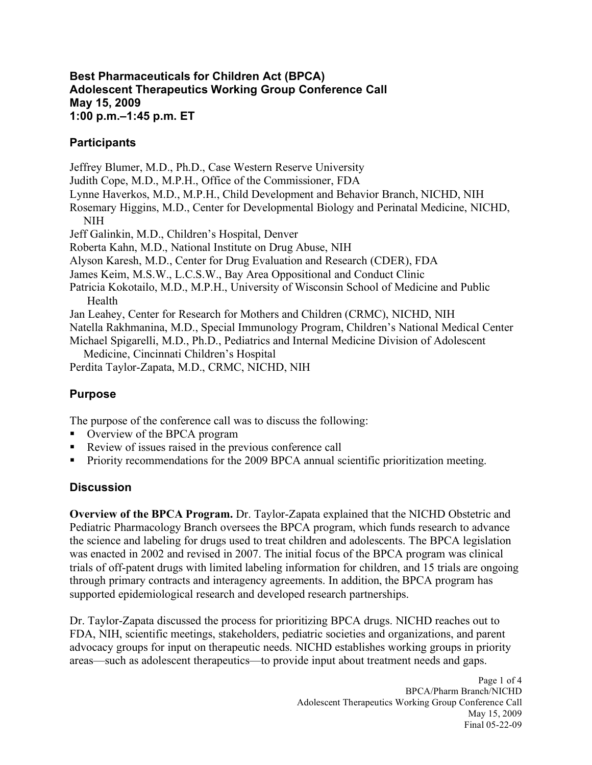#### **Best Pharmaceuticals for Children Act (BPCA) Adolescent Therapeutics Working Group Conference Call May 15, 2009 1:00 p.m.–1:45 p.m. ET**

### **Participants**

Jeffrey Blumer, M.D., Ph.D., Case Western Reserve University

Judith Cope, M.D., M.P.H., Office of the Commissioner, FDA

Lynne Haverkos, M.D., M.P.H., Child Development and Behavior Branch, NICHD, NIH

 Rosemary Higgins, M.D., Center for Developmental Biology and Perinatal Medicine, NICHD, NIH

Jeff Galinkin, M.D., Children's Hospital, Denver

Roberta Kahn, M.D., National Institute on Drug Abuse, NIH

Alyson Karesh, M.D., Center for Drug Evaluation and Research (CDER), FDA

James Keim, M.S.W., L.C.S.W., Bay Area Oppositional and Conduct Clinic

 Patricia Kokotailo, M.D., M.P.H., University of Wisconsin School of Medicine and Public Health

Jan Leahey, Center for Research for Mothers and Children (CRMC), NICHD, NIH

Natella Rakhmanina, M.D., Special Immunology Program, Children's National Medical Center

 Michael Spigarelli, M.D., Ph.D., Pediatrics and Internal Medicine Division of Adolescent Medicine, Cincinnati Children's Hospital

Perdita Taylor-Zapata, M.D., CRMC, NICHD, NIH

# **Purpose**

The purpose of the conference call was to discuss the following:

- Overview of the BPCA program
- Review of issues raised in the previous conference call
- **Priority recommendations for the 2009 BPCA annual scientific prioritization meeting.**

## **Discussion**

 **Overview of the BPCA Program.** Dr. Taylor-Zapata explained that the NICHD Obstetric and Pediatric Pharmacology Branch oversees the BPCA program, which funds research to advance the science and labeling for drugs used to treat children and adolescents. The BPCA legislation was enacted in 2002 and revised in 2007. The initial focus of the BPCA program was clinical trials of off-patent drugs with limited labeling information for children, and 15 trials are ongoing through primary contracts and interagency agreements. In addition, the BPCA program has supported epidemiological research and developed research partnerships.

 Dr. Taylor-Zapata discussed the process for prioritizing BPCA drugs. NICHD reaches out to FDA, NIH, scientific meetings, stakeholders, pediatric societies and organizations, and parent advocacy groups for input on therapeutic needs. NICHD establishes working groups in priority areas—such as adolescent therapeutics—to provide input about treatment needs and gaps.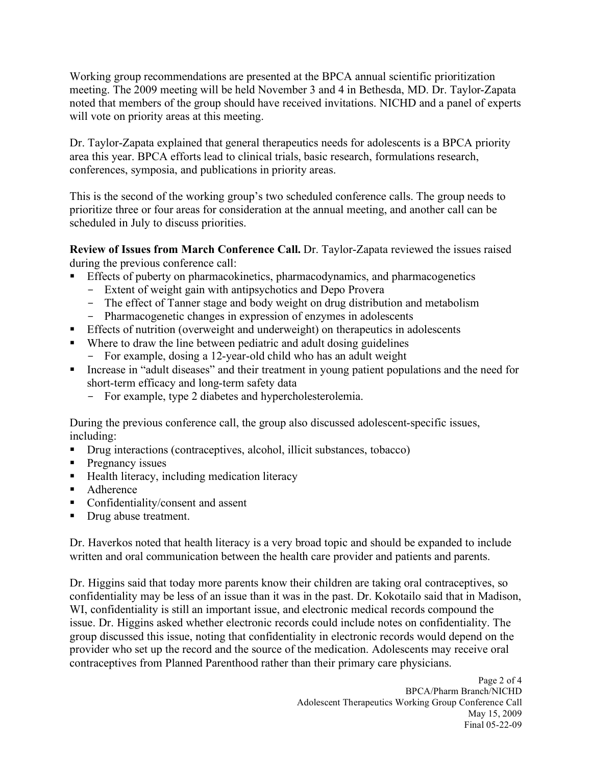Working group recommendations are presented at the BPCA annual scientific prioritization meeting. The 2009 meeting will be held November 3 and 4 in Bethesda, MD. Dr. Taylor-Zapata noted that members of the group should have received invitations. NICHD and a panel of experts will vote on priority areas at this meeting.

 Dr. Taylor-Zapata explained that general therapeutics needs for adolescents is a BPCA priority area this year. BPCA efforts lead to clinical trials, basic research, formulations research, conferences, symposia, and publications in priority areas.

 This is the second of the working group's two scheduled conference calls. The group needs to prioritize three or four areas for consideration at the annual meeting, and another call can be scheduled in July to discuss priorities.

 **Review of Issues from March Conference Call.** Dr. Taylor-Zapata reviewed the issues raised during the previous conference call:

- **Effects of puberty on pharmacokinetics, pharmacodynamics, and pharmacogenetics** 
	- Extent of weight gain with antipsychotics and Depo Provera
	- The effect of Tanner stage and body weight on drug distribution and metabolism
	- Pharmacogenetic changes in expression of enzymes in adolescents
- **Effects of nutrition (overweight and underweight) on therapeutics in adolescents**
- **Where to draw the line between pediatric and adult dosing guidelines** 
	- For example, dosing a 12-year-old child who has an adult weight
- **Increase in "adult diseases" and their treatment in young patient populations and the need for**  short-term efficacy and long-term safety data
	- For example, type 2 diabetes and hypercholesterolemia.

 During the previous conference call, the group also discussed adolescent-specific issues, including:

- Drug interactions (contraceptives, alcohol, illicit substances, tobacco)
- $\blacksquare$  Pregnancy issues
- $\blacksquare$  Health literacy, including medication literacy
- Adherence
- Confidentiality/consent and assent
- Drug abuse treatment.

 Dr. Haverkos noted that health literacy is a very broad topic and should be expanded to include written and oral communication between the health care provider and patients and parents.

 Dr. Higgins said that today more parents know their children are taking oral contraceptives, so confidentiality may be less of an issue than it was in the past. Dr. Kokotailo said that in Madison, WI, confidentiality is still an important issue, and electronic medical records compound the issue. Dr. Higgins asked whether electronic records could include notes on confidentiality. The group discussed this issue, noting that confidentiality in electronic records would depend on the provider who set up the record and the source of the medication. Adolescents may receive oral contraceptives from Planned Parenthood rather than their primary care physicians.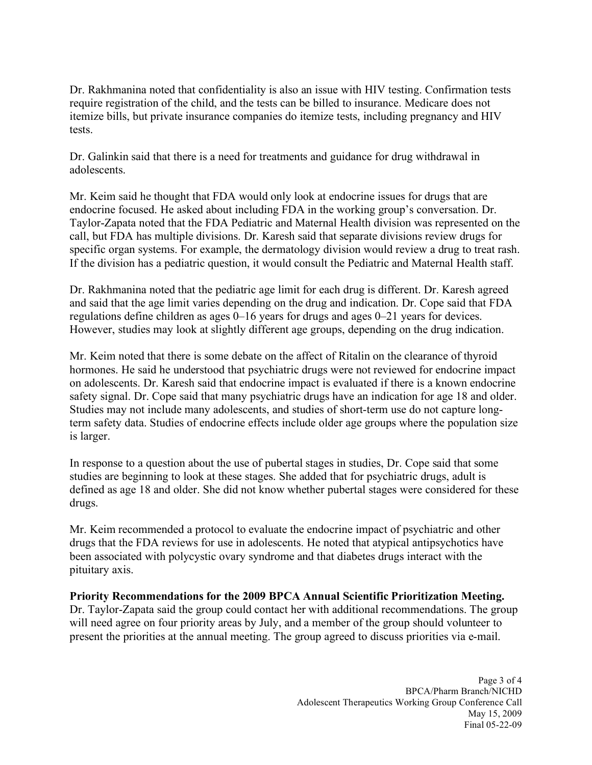Dr. Rakhmanina noted that confidentiality is also an issue with HIV testing. Confirmation tests require registration of the child, and the tests can be billed to insurance. Medicare does not itemize bills, but private insurance companies do itemize tests, including pregnancy and HIV tests.

 Dr. Galinkin said that there is a need for treatments and guidance for drug withdrawal in adolescents.

 Mr. Keim said he thought that FDA would only look at endocrine issues for drugs that are endocrine focused. He asked about including FDA in the working group's conversation. Dr. Taylor-Zapata noted that the FDA Pediatric and Maternal Health division was represented on the call, but FDA has multiple divisions. Dr. Karesh said that separate divisions review drugs for specific organ systems. For example, the dermatology division would review a drug to treat rash. If the division has a pediatric question, it would consult the Pediatric and Maternal Health staff.

 Dr. Rakhmanina noted that the pediatric age limit for each drug is different. Dr. Karesh agreed and said that the age limit varies depending on the drug and indication. Dr. Cope said that FDA regulations define children as ages 0–16 years for drugs and ages 0–21 years for devices. However, studies may look at slightly different age groups, depending on the drug indication.

 Mr. Keim noted that there is some debate on the affect of Ritalin on the clearance of thyroid hormones. He said he understood that psychiatric drugs were not reviewed for endocrine impact on adolescents. Dr. Karesh said that endocrine impact is evaluated if there is a known endocrine safety signal. Dr. Cope said that many psychiatric drugs have an indication for age 18 and older. Studies may not include many adolescents, and studies of short-term use do not capture long- term safety data. Studies of endocrine effects include older age groups where the population size is larger.

 In response to a question about the use of pubertal stages in studies, Dr. Cope said that some studies are beginning to look at these stages. She added that for psychiatric drugs, adult is defined as age 18 and older. She did not know whether pubertal stages were considered for these drugs.

 Mr. Keim recommended a protocol to evaluate the endocrine impact of psychiatric and other drugs that the FDA reviews for use in adolescents. He noted that atypical antipsychotics have been associated with polycystic ovary syndrome and that diabetes drugs interact with the pituitary axis.

 **Priority Recommendations for the 2009 BPCA Annual Scientific Prioritization Meeting.** 

 Dr. Taylor-Zapata said the group could contact her with additional recommendations. The group will need agree on four priority areas by July, and a member of the group should volunteer to present the priorities at the annual meeting. The group agreed to discuss priorities via e-mail.